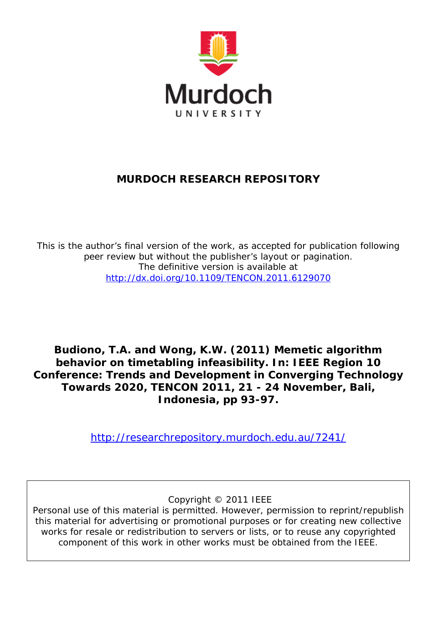

# **MURDOCH RESEARCH REPOSITORY**

*This is the author's final version of the work, as accepted for publication following peer review but without the publisher's layout or pagination. The definitive version is available at <http://dx.doi.org/10.1109/TENCON.2011.6129070>*

**Budiono, T.A. and Wong, K.W. (2011) Memetic algorithm behavior on timetabling infeasibility. In: IEEE Region 10 Conference: Trends and Development in Converging Technology Towards 2020, TENCON 2011, 21 - 24 November, Bali, Indonesia, pp 93-97.**

<http://researchrepository.murdoch.edu.au/7241/>

Copyright © 2011 IEEE

Personal use of this material is permitted. However, permission to reprint/republish this material for advertising or promotional purposes or for creating new collective works for resale or redistribution to servers or lists, or to reuse any copyrighted component of this work in other works must be obtained from the IEEE.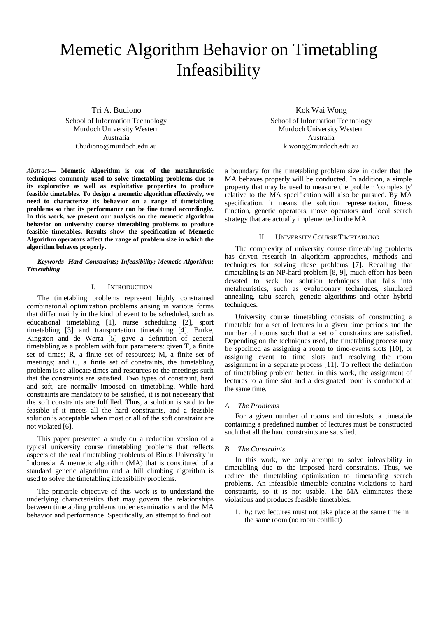# Memetic Algorithm Behavior on Timetabling Infeasibility

Tri A. Budiono School of Information Technology Murdoch University Western Australia [t.budiono@murdoch.edu.au](mailto:t.budiono@murdoch.edu.au)

*Abstract***— Memetic Algorithm is one of the metaheuristic techniques commonly used to solve timetabling problems due to its explorative as well as exploitative properties to produce feasible timetables. To design a memetic algorithm effectively, we need to characterize its behavior on a range of timetabling problems so that its performance can be fine tuned accordingly. In this work, we present our analysis on the memetic algorithm behavior on university course timetabling problems to produce feasible timetables. Results show the specification of Memetic Algorithm operators affect the range of problem size in which the algorithm behaves properly.**

*Keywords- Hard Constraints; Infeasibility; Memetic Algorithm; Timetabling*

#### I. INTRODUCTION

The timetabling problems represent highly constrained combinatorial optimization problems arising in various forms that differ mainly in the kind of event to be scheduled, such as educational timetabling [1], nurse scheduling [2], sport timetabling [3] and transportation timetabling [4]. Burke, Kingston and de Werra [5] gave a definition of general timetabling as a problem with four parameters: given T, a finite set of times; R, a finite set of resources; M, a finite set of meetings; and C, a finite set of constraints, the timetabling problem is to allocate times and resources to the meetings such that the constraints are satisfied. Two types of constraint, hard and soft, are normally imposed on timetabling. While hard constraints are mandatory to be satisfied, it is not necessary that the soft constraints are fulfilled. Thus, a solution is said to be feasible if it meets all the hard constraints, and a feasible solution is acceptable when most or all of the soft constraint are not violated [6].

This paper presented a study on a reduction version of a typical university course timetabling problems that reflects aspects of the real timetabling problems of Binus University in Indonesia. A memetic algorithm (MA) that is constituted of a standard genetic algorithm and a hill climbing algorithm is used to solve the timetabling infeasibility problems.

The principle objective of this work is to understand the underlying characteristics that may govern the relationships between timetabling problems under examinations and the MA behavior and performance. Specifically, an attempt to find out

Kok Wai Wong School of Information Technology Murdoch University Western Australia [k.wong@murdoch.edu.au](mailto:k.wong@murdoch.edu.au)

a boundary for the timetabling problem size in order that the MA behaves properly will be conducted. In addition, a simple property that may be used to measure the problem 'complexity' relative to the MA specification will also be pursued. By MA specification, it means the solution representation, fitness function, genetic operators, move operators and local search strategy that are actually implemented in the MA.

### II. UNIVERSITY COURSE TIMETABLING

The complexity of university course timetabling problems has driven research in algorithm approaches, methods and techniques for solving these problems [7]. Recalling that timetabling is an NP-hard problem [8, 9], much effort has been devoted to seek for solution techniques that falls into metaheuristics, such as evolutionary techniques, simulated annealing, tabu search, genetic algorithms and other hybrid techniques.

University course timetabling consists of constructing a timetable for a set of lectures in a given time periods and the number of rooms such that a set of constraints are satisfied. Depending on the techniques used, the timetabling process may be specified as assigning a room to time-events slots [10], or assigning event to time slots and resolving the room assignment in a separate process [11]. To reflect the definition of timetabling problem better, in this work, the assignment of lectures to a time slot and a designated room is conducted at the same time.

#### *A. The Problems*

For a given number of rooms and timeslots, a timetable containing a predefined number of lectures must be constructed such that all the hard constraints are satisfied.

#### *B. The Constraints*

In this work, we only attempt to solve infeasibility in timetabling due to the imposed hard constraints. Thus, we reduce the timetabling optimization to timetabling search problems. An infeasible timetable contains violations to hard constraints, so it is not usable. The MA eliminates these violations and produces feasible timetables.

1.  $h_i$ : two lectures must not take place at the same time in the same room (no room conflict)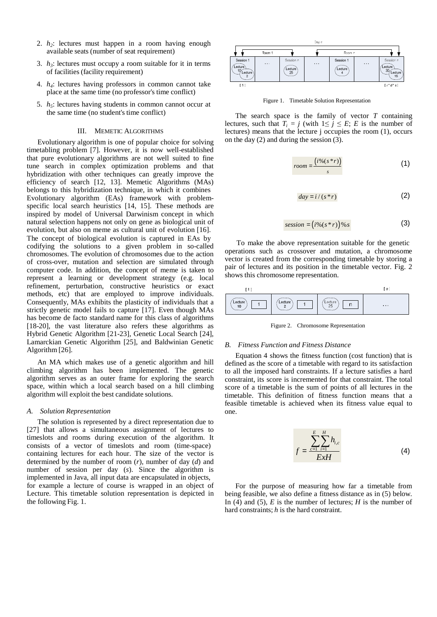- 2. *h2*: lectures must happen in a room having enough available seats (number of seat requirement)
- 3.  $h_3$ : lectures must occupy a room suitable for it in terms of facilities (facility requirement)
- 4. *h4*: lectures having professors in common cannot take place at the same time (no professor's time conflict)
- 5.  $h_5$ : lectures having students in common cannot occur at the same time (no student's time conflict)

#### III. MEMETIC ALGORITHMS

Evolutionary algorithm is one of popular choice for solving timetabling problem [7]. However, it is now well-established that pure evolutionary algorithms are not well suited to fine tune search in complex optimization problems and that hybridization with other techniques can greatly improve the efficiency of search [12, 13]. Memetic Algorithms (MAs) belongs to this hybridization technique, in which it combines Evolutionary algorithm (EAs) framework with problemspecific local search heuristics [14, 15]. These methods are inspired by model of Universal Darwinism concept in which natural selection happens not only on gene as biological unit of evolution, but also on meme as cultural unit of evolution [16]. The concept of biological evolution is captured in EAs by codifying the solutions to a given problem in so-called chromosomes. The evolution of chromosomes due to the action of cross-over, mutation and selection are simulated through computer code. In addition, the concept of meme is taken to represent a learning or development strategy (e.g. local refinement, perturbation, constructive heuristics or exact methods, etc) that are employed to improve individuals. Consequently, MAs exhibits the plasticity of individuals that a strictly genetic model fails to capture [17]. Even though MAs has become de facto standard name for this class of algorithms [18-20], the vast literature also refers these algorithms as Hybrid Genetic Algorithm [21-23], Genetic Local Search [24], Lamarckian Genetic Algorithm [25], and Baldwinian Genetic Algorithm [26].

An MA which makes use of a genetic algorithm and hill climbing algorithm has been implemented. The genetic algorithm serves as an outer frame for exploring the search space, within which a local search based on a hill climbing algorithm will exploit the best candidate solutions.

#### *A. Solution Representation*

The solution is represented by a direct representation due to [27] that allows a simultaneous assignment of lectures to timeslots and rooms during execution of the algorithm. It consists of a vector of timeslots and room (time-space) containing lectures for each hour. The size of the vector is determined by the number of room (*r*), number of day (*d*) and number of session per day (*s*). Since the algorithm is implemented in Java, all input data are encapsulated in objects, for example a lecture of course is wrapped in an object of Lecture. This timetable solution representation is depicted in the following Fig. 1.



Figure 1. Timetable Solution Representation

The search space is the family of vector *T* containing lectures, such that  $T_i = j$  (with  $1 \le j \le E$ ; *E* is the number of lectures) means that the lecture j occupies the room (1), occurs on the day (2) and during the session (3).

$$
room = \frac{(i\% (s*r))}{s} \tag{1}
$$

$$
day = i / (s * r)
$$
 (2)

$$
session = (i\% (s*r))\% s \tag{3}
$$

To make the above representation suitable for the genetic operations such as crossover and mutation, a chromosome vector is created from the corresponding timetable by storing a pair of lectures and its position in the timetable vector. Fig. 2 shows this chromosome representation.



Figure 2. Chromosome Representation

#### *B. Fitness Function and Fitness Distance*

Equation 4 shows the fitness function (cost function) that is defined as the score of a timetable with regard to its satisfaction to all the imposed hard constraints. If a lecture satisfies a hard constraint, its score is incremented for that constraint. The total score of a timetable is the sum of points of all lectures in the timetable. This definition of fitness function means that a feasible timetable is achieved when its fitness value equal to one.

$$
f = \frac{\sum_{c=1}^{E} \sum_{i=1}^{H} h_{i,c}}{ExH}
$$
 (4)

For the purpose of measuring how far a timetable from being feasible, we also define a fitness distance as in (5) below. In (4) and (5),  $E$  is the number of lectures;  $H$  is the number of hard constraints; *h* is the hard constraint.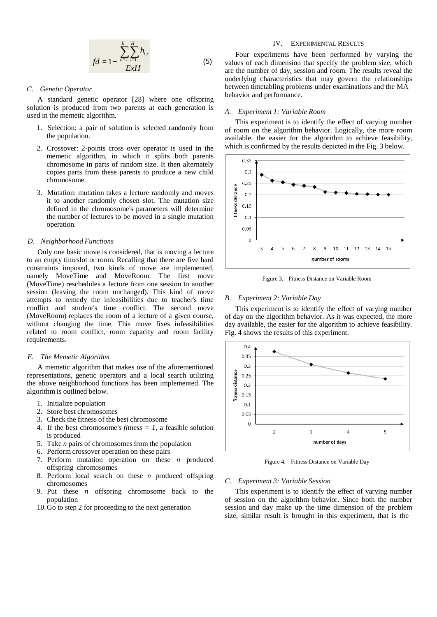$$
fd = 1 - \frac{\sum_{c=1}^{E} \sum_{i=1}^{H} h_{i,c}}{ExH}
$$
 (5)

#### *C. Genetic Operator*

A standard genetic operator [28] where one offspring solution is produced from two parents at each generation is used in the memetic algorithm.

- 1. Selection: a pair of solution is selected randomly from the population.
- 2. Crossover: 2-points cross over operator is used in the memetic algorithm, in which it splits both parents chromosome in parts of random size. It then alternately copies parts from these parents to produce a new child chromosome.
- 3. Mutation: mutation takes a lecture randomly and moves it to another randomly chosen slot. The mutation size defined in the chromosome's parameters will determine the number of lectures to be moved in a single mutation operation.

#### *D. Neighborhood Functions*

Only one basic move is considered, that is moving a lecture to an empty timeslot or room. Recalling that there are five hard constraints imposed, two kinds of move are implemented, namely MoveTime and MoveRoom. The first move (MoveTime) reschedules a lecture from one session to another session (leaving the room unchanged). This kind of move attempts to remedy the infeasibilities due to teacher's time conflict and student's time conflict. The second move (MoveRoom) replaces the room of a lecture of a given course, without changing the time. This move fixes infeasibilities related to room conflict, room capacity and room facility requirements.

#### *E. The Memetic Algorithm*

A memetic algorithm that makes use of the aforementioned representations, genetic operators and a local search utilizing the above neighborhood functions has been implemented. The algorithm is outlined below.

- 1. Initialize population
- 2. Store best chromosomes
- 3. Check the fitness of the best chromosome
- 4. If the best chromosome's *fitness* =  $1$ , a feasible solution is produced
- 5. Take *n* pairs of chromosomes from the population
- 6. Perform crossover operation on these pairs
- 7. Perform mutation operation on these *n* produced offspring chromosomes
- 8. Perform local search on these *n* produced offspring chromosomes
- 9. Put these *n* offspring chromosome back to the population
- 10.Go to step 2 for proceeding to the next generation

## IV. EXPERIMENTAL RESULTS

Four experiments have been performed by varying the values of each dimension that specify the problem size, which are the number of day, session and room. The results reveal the underlying characteristics that may govern the relationships between timetabling problems under examinations and the MA behavior and performance.

#### *A. Experiment 1: Variable Room*

This experiment is to identify the effect of varying number of room on the algorithm behavior. Logically, the more room available, the easier for the algorithm to achieve feasibility, which is confirmed by the results depicted in the Fig. 3 below.



Figure 3. Fitness Distance on Variable Room

#### *B. Experiment 2: Variable Day*

This experiment is to identify the effect of varying number of day on the algorithm behavior. As it was expected, the more day available, the easier for the algorithm to achieve feasibility. Fig. 4 shows the results of this experiment.



Figure 4. Fitness Distance on Variable Day

#### *C. Experiment 3: Variable Session*

This experiment is to identify the effect of varying number of session on the algorithm behavior. Since both the number session and day make up the time dimension of the problem size, similar result is brought in this experiment, that is the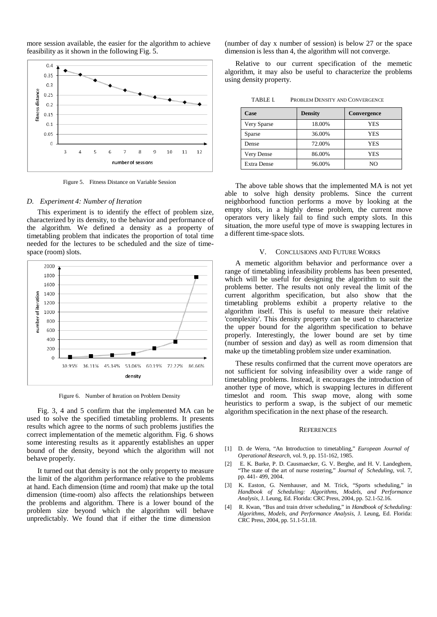more session available, the easier for the algorithm to achieve feasibility as it shown in the following Fig. 5.



Figure 5. Fitness Distance on Variable Session

#### *D. Experiment 4: Number of Iteration*

This experiment is to identify the effect of problem size, characterized by its density, to the behavior and performance of the algorithm. We defined a density as a property of timetabling problem that indicates the proportion of total time needed for the lectures to be scheduled and the size of timespace (room) slots.



Figure 6. Number of Iteration on Problem Density

Fig. 3, 4 and 5 confirm that the implemented MA can be used to solve the specified timetabling problems. It presents results which agree to the norms of such problems justifies the correct implementation of the memetic algorithm. Fig. 6 shows some interesting results as it apparently establishes an upper bound of the density, beyond which the algorithm will not behave properly.

It turned out that density is not the only property to measure the limit of the algorithm performance relative to the problems at hand. Each dimension (time and room) that make up the total dimension (time-room) also affects the relationships between the problems and algorithm. There is a lower bound of the problem size beyond which the algorithm will behave unpredictably. We found that if either the time dimension

(number of day x number of session) is below 27 or the space dimension is less than 4, the algorithm will not converge.

Relative to our current specification of the memetic algorithm, it may also be useful to characterize the problems using density property.

TABLE I. PROBLEM DENSITY AND CONVERGENCE

| Case               | <b>Density</b> | Convergence |
|--------------------|----------------|-------------|
| Very Sparse        | 18.00%         | <b>YES</b>  |
| Sparse             | 36.00%         | <b>YES</b>  |
| Dense              | 72.00%         | <b>YES</b>  |
| Very Dense         | 86.00%         | <b>YES</b>  |
| <b>Extra Dense</b> | 96.00%         | NO          |

The above table shows that the implemented MA is not yet able to solve high density problems. Since the current neighborhood function performs a move by looking at the empty slots, in a highly dense problem, the current move operators very likely fail to find such empty slots. In this situation, the more useful type of move is swapping lectures in a different time-space slots.

#### V. CONCLUSIONS AND FUTURE WORKS

A memetic algorithm behavior and performance over a range of timetabling infeasibility problems has been presented, which will be useful for designing the algorithm to suit the problems better. The results not only reveal the limit of the current algorithm specification, but also show that the timetabling problems exhibit a property relative to the algorithm itself. This is useful to measure their relative 'complexity'. This density property can be used to characterize the upper bound for the algorithm specification to behave properly. Interestingly, the lower bound are set by time (number of session and day) as well as room dimension that make up the timetabling problem size under examination.

These results confirmed that the current move operators are not sufficient for solving infeasibility over a wide range of timetabling problems. Instead, it encourages the introduction of another type of move, which is swapping lectures in different timeslot and room. This swap move, along with some heuristics to perform a swap, is the subject of our memetic algorithm specification in the next phase of the research.

#### **REFERENCES**

- [1] D. de Werra, "An Introduction to timetabling," *European Journal of Operational Research,* vol. 9, pp. 151-162, 1985.
- [2] E. K. Burke, P. D. Causmaecker, G. V. Berghe, and H. V. Landeghem, "The state of the art of nurse rostering," *Journal of Scheduling,* vol. 7, pp. 441- 499, 2004.
- [3] K. Easton, G. Nemhauser, and M. Trick, "Sports scheduling," in *Handbook of Scheduling: Algorithms, Models, and Performance Analysis*, J. Leung, Ed. Florida: CRC Press, 2004, pp. 52.1-52.16.
- [4] R. Kwan, "Bus and train driver scheduling," in *Handbook of Scheduling: Algorithms, Models, and Performance Analysis*, J. Leung, Ed. Florida: CRC Press, 2004, pp. 51.1-51.18.